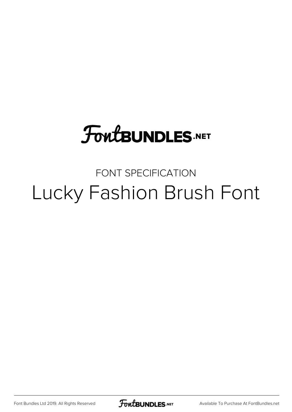## **FoutBUNDLES.NET**

### FONT SPECIFICATION Lucky Fashion Brush Font

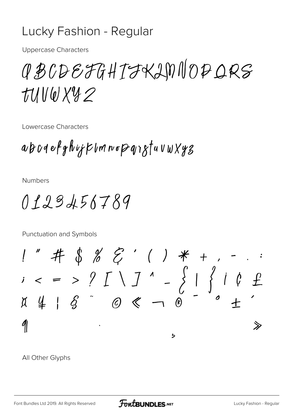#### Lucky Fashion - Regular

**Uppercase Characters** 

## CBCDEFGHTFKLMNOPORS TUVWXYZ

Lowercase Characters

abodefghijkumnopqigtuvwXy3

**Numbers** 

0123456789

Punctuation and Symbols

 $1''$  # \$ % & ' ( ) \* +  $\begin{array}{l} \n\mu_1 + \mu_2 + \nu_3 \\
\mu_3 + \mu_4 + \mu_5 \\
\mu_4 + \mu_5 + \mu_6\n\end{array}$  $\mathcal{P}$ ゝ  $\overline{b}$ 

All Other Glyphs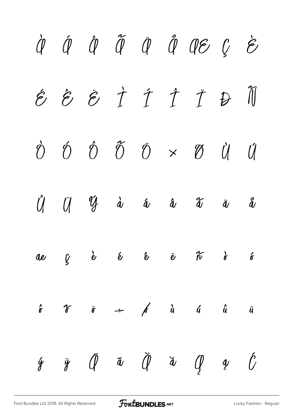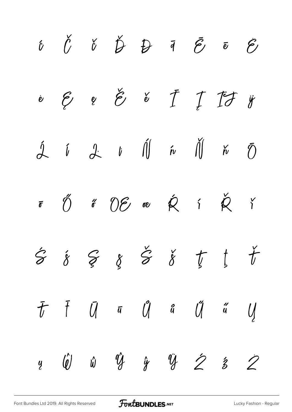|  |  |  | $\begin{array}{cccccccccccccc} \hat{U} & \check{U} & \check{U} & \check{U} & \check{U} & \check{U} & \check{U} & \check{U} & \check{U} & \check{U} & \check{U} & \check{U} & \check{U} & \check{U} & \check{U} & \check{U} & \check{U} & \check{U} & \check{U} & \check{U} & \check{U} & \check{U} & \check{U} & \check{U} & \check{U} & \check{U} & \check{U} & \check{U} & \check{U} & \check{U} & \check{U} & \check{U} & \check{U} & \check{U} & \check{U} &$ |  |
|--|--|--|-------------------------------------------------------------------------------------------------------------------------------------------------------------------------------------------------------------------------------------------------------------------------------------------------------------------------------------------------------------------------------------------------------------------------------------------------------------------|--|
|  |  |  |                                                                                                                                                                                                                                                                                                                                                                                                                                                                   |  |
|  |  |  | $\begin{array}{ccccccccc}\n\hat{\mathcal{A}} & \hat{\mathcal{U}} & \mathcal{A} & \hat{\mathcal{U}} & \hat{\mathcal{U}} & \hat{\mathcal{U}} & \hat{\mathcal{W}} & \hat{\mathcal{U}} & \hat{\mathcal{W}} & \hat{\mathcal{O}}\n\end{array}$                                                                                                                                                                                                                          |  |
|  |  |  | $\begin{array}{ccccc}\n\text{F} & \text{O} & \text{C} & \text{O} & \text{O} & \text{O} & \text{O} & \text{O} & \text{O} & \text{O} & \text{O} & \text{O} & \text{O} & \text{O} & \text{O} & \text{O} & \text{O} & \text{O} & \text{O} & \text{O} & \text{O} & \text{O} & \text{O} & \text{O} & \text{O} & \text{O} & \text{O} & \text{O} & \text{O} & \text{O} & \text{O} & \text{O} & \text{O} & \text{O} & \text{O} & \$                                        |  |
|  |  |  | $\begin{array}{cccccccccccccccccc} \hat{S} & \hat{\delta} & \hat{S} & \hat{S} & \hat{S} & \check{S} & \check{S} & \check{U} & \check{U} & \check{U} & \end{array}$                                                                                                                                                                                                                                                                                                |  |
|  |  |  | $\bar{t}$ $\bar{t}$ $\bar{u}$ $\bar{u}$ $\bar{u}$ $\bar{u}$ $\bar{u}$ $\bar{u}$                                                                                                                                                                                                                                                                                                                                                                                   |  |
|  |  |  | $\begin{array}{ccccccccc}\ny & \hat{w} & \hat{w} & \hat{y} & \hat{y} & \hat{y} & \hat{z} & \hat{z} & \hat{z}\n\end{array}$                                                                                                                                                                                                                                                                                                                                        |  |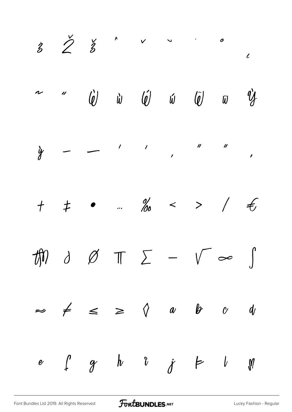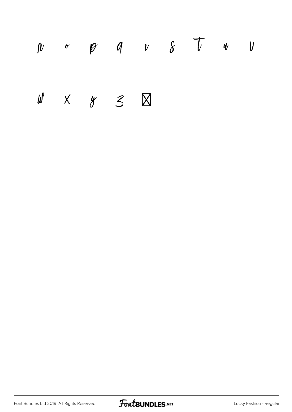# $\begin{array}{ccccccccccccccccccccc} 0 & & & & & & \varphi & & q & & v & & \delta & & \mathcal{T} & & \psi & & \mathcal{U} \end{array}$  $\begin{array}{ccccccccc} \psi & \times & \times & \times & \mathbb{S} & \boxtimes \end{array}$

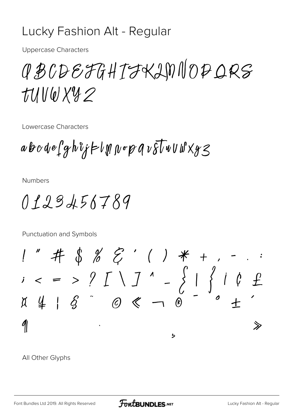#### Lucky Fashion Alt - Regular

**Uppercase Characters** 

CBCDEFGHTFKLMNOPORS TUVWXY2

Lowercase Characters

 $ab\circ d$ e $\int g h \hat{v}$ j $\vdash l$ M $\int p \circ p q v \overline{\delta} \overline{l}$ v $Uw \& y \leq$ 

**Numbers** 

0123456789

**Punctuation and Symbols** 

 $1''$  # \$ % & ' ( ) \* +  $x = 3 \int_{0}^{1} 1 \cdot \frac{1}{2} \cdot \frac{1}{2} \cdot \frac{1}{2} \cdot \frac{1}{2} \cdot \frac{1}{2} \cdot \frac{1}{2} \cdot \frac{1}{2} \cdot \frac{1}{2} \cdot \frac{1}{2} \cdot \frac{1}{2} \cdot \frac{1}{2} \cdot \frac{1}{2} \cdot \frac{1}{2} \cdot \frac{1}{2} \cdot \frac{1}{2} \cdot \frac{1}{2} \cdot \frac{1}{2} \cdot \frac{1}{2} \cdot \frac{1}{2} \cdot \frac{1}{2} \cdot \frac{1}{2} \cdot \frac{1}{2} \cdot \frac{1}{2$  $\mathcal{P}$ ゝ  $\overline{b}$ 

All Other Glyphs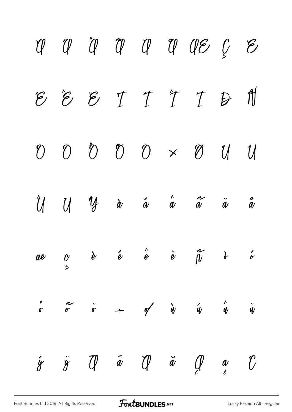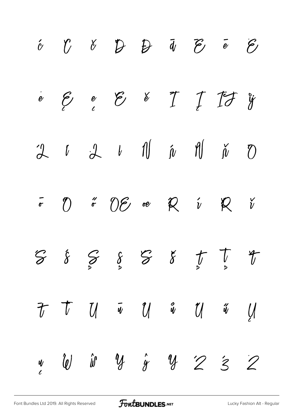|  | $\begin{array}{cccccccccccccc} \acute{c} & \acute{c} & \acute{c} & \acute{c} & \acute{c} & \acute{c} & \acute{c} & \acute{c} & \acute{c} & \acute{c} & \acute{c} & \end{array} \qquad \begin{array}{cccccccccccccc} \acute{c} & \acute{c} & \acute{c} & \acute{c} & \acute{c} & \acute{c} & \acute{c} & \end{array}$                                                                                                                                                                                                                                                                                                                                                                  |  |  |  |
|--|---------------------------------------------------------------------------------------------------------------------------------------------------------------------------------------------------------------------------------------------------------------------------------------------------------------------------------------------------------------------------------------------------------------------------------------------------------------------------------------------------------------------------------------------------------------------------------------------------------------------------------------------------------------------------------------|--|--|--|
|  | $\begin{array}{cccccccccccccc} \frac{\partial}{\partial y} & \frac{\partial}{\partial z} & \frac{\partial}{\partial z} & \frac{\partial}{\partial z} & \frac{\partial}{\partial z} & \frac{\partial}{\partial z} & \frac{\partial}{\partial z} & \frac{\partial}{\partial z} & \frac{\partial}{\partial z} & \frac{\partial}{\partial z} & \frac{\partial}{\partial z} & \frac{\partial}{\partial z} & \frac{\partial}{\partial z} & \frac{\partial}{\partial z} & \frac{\partial}{\partial z} & \frac{\partial}{\partial z} & \frac{\partial}{\partial z} & \frac{\partial}{\partial z} & \frac{\partial}{\partial z} & \frac{\partial}{\partial z} & \frac{\partial}{\partial z} &$ |  |  |  |
|  | $\begin{array}{ccccccccccccc}\n2 & t & \mathcal{A} & t & \text{1}\n\end{array}\n\quad \begin{array}{cccccccc}\n\hat{\mu} & \text{1}\n\end{array}\n\quad \begin{array}{cccccccc}\n\hat{\mu} & \text{1}\n\end{array}\n\quad \begin{array}{cccccccc}\n\hat{\mu} & \text{1}\n\end{array}\n\quad \begin{array}{cccccccc}\n\hat{\mu} & \text{1}\n\end{array}$                                                                                                                                                                                                                                                                                                                               |  |  |  |
|  | $\overline{r}$ (1) $\overline{r}$ (1) $\overline{e}$ (1) $\overline{R}$ (1) $\overline{R}$ (1) $\overline{r}$                                                                                                                                                                                                                                                                                                                                                                                                                                                                                                                                                                         |  |  |  |
|  | $\begin{array}{ccccccccc} \mathcal{G} & \mathcal{E} & \mathcal{G} & \mathcal{E} & \mathcal{G} & \mathcal{E} & \mathcal{E} & \mathcal{F} & \mathcal{F} & \mathcal{F} & \mathcal{F} & \mathcal{F} & \mathcal{F} & \mathcal{F} & \mathcal{F} & \mathcal{F} & \mathcal{F} & \mathcal{F} & \mathcal{F} & \mathcal{F} & \mathcal{F} & \mathcal{F} & \mathcal{F} & \mathcal{F} & \mathcal{F} & \mathcal{F} & \mathcal{F} & \mathcal{F} & \mathcal{F} & \mathcal{F} & \$                                                                                                                                                                                                                      |  |  |  |
|  | $\begin{array}{cccccccccccccc} \tau & \tau & \eta & \tilde{\mathbf{w}} & \eta & \mathbf{w} & \eta & \tilde{\mathbf{w}} & \eta \end{array}$                                                                                                                                                                                                                                                                                                                                                                                                                                                                                                                                            |  |  |  |
|  | $\frac{1}{2}$ ( <i>v</i> ) if $\frac{1}{2}$ if $\frac{1}{2}$ if $\frac{1}{2}$ if $\frac{1}{2}$ if $\frac{1}{2}$                                                                                                                                                                                                                                                                                                                                                                                                                                                                                                                                                                       |  |  |  |